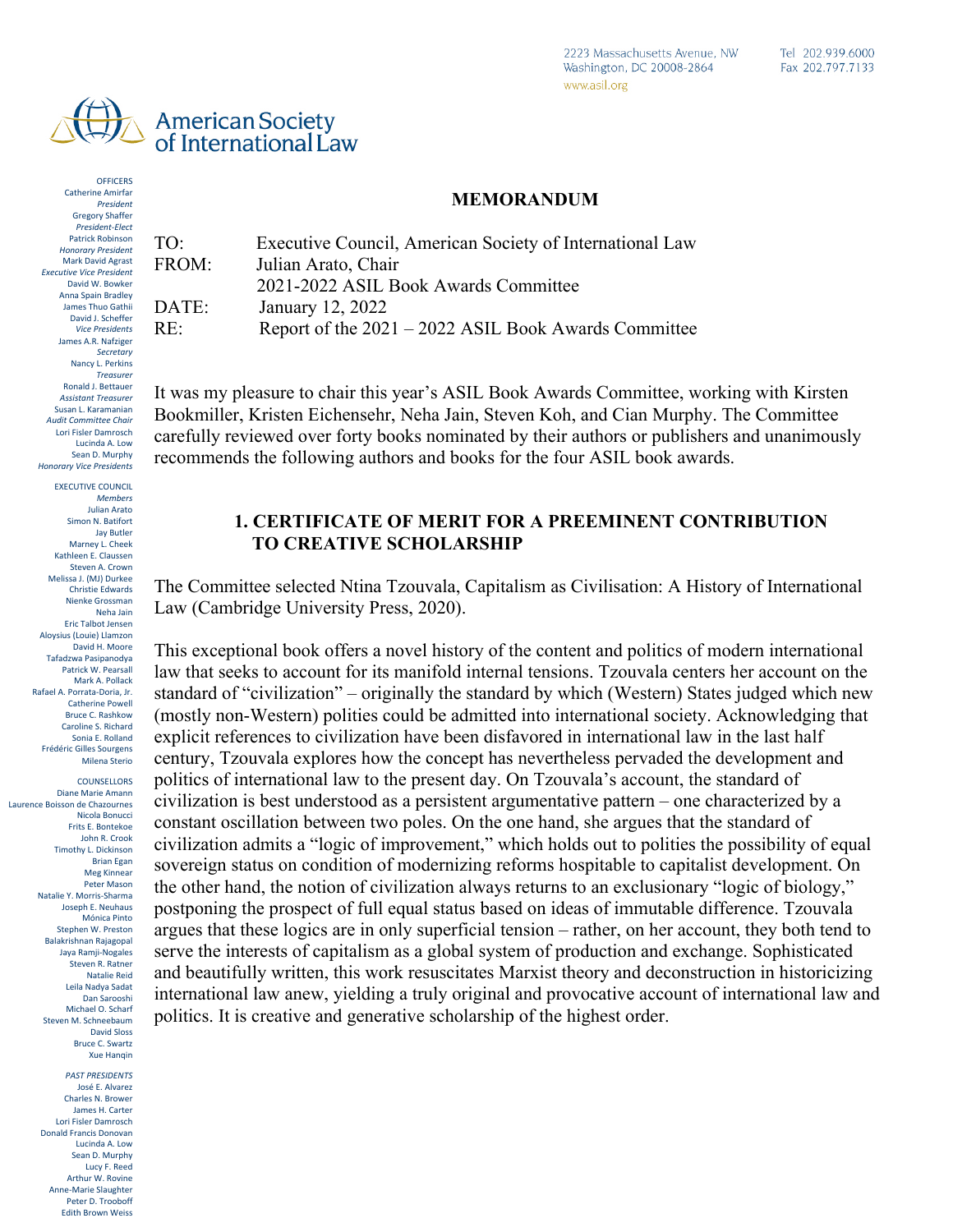

**OFFICERS** Catherine Amirfar Catherine Amirfar *President* Patrick Robinson *Honorary President* Gregory Shaffer *President-Elect* Patrick Robinson *Executive Vice President Honorary President* Mark David Agrast **Executive Vice President** David W. Bowker Anna Spain Bradley *Vice Presidents* Anna Spain BradleyJames Thuo Gathii David J. Scheffer **Vice Presidents** James A.R. Nafziger *Treasurer Secretary*Nancy L. Perkins *Assistant Treasurer Treasurer* Ronald J. Bettauer *Audit Committee Chair Assistant Treasurer* Susan L. Karamanian Audit Committee Chair Lori Fisler Damrosch *Honorary Vice Presidents* Lucinda A. Low **Honorary Vice Presidents** Sean D. Murphy

**EXECUTIVE COUNCIL Members** Julian Arato Simon N. Batifort Jay Butler Marney L. Cheek Kathleen E. Claussen Steven A. Crown Melissa J. (MJ) Durkee Christie Edwards Nienke Grossman Neha Jain Eric Talbot Jensen Aloysius (Louie) Llamzon David H. Moore Tafadzwa Pasipanodya Patrick W. Pearsall Mark A. Pollack Rafael A. Porrata-Doria, Jr. Catherine Powell Bruce C. Rashkow Caroline S. Richard Sonia E. Rolland *Counsellors* Milena Sterio Frédéric Gilles Sourgens

**COUNSELLORS** Laurence Boisson de Chazournes Diane Marie Amann Nicola Bonucci John R. Crook Laurence Boisson de Chazournes Marcella David Frits E. Bontekoe rrius E. Borriekoe<br>John R. Crook John K. Crook<br>Timothy L. Dickinson Brian Egan weg Kinnear<br>Peter Mason Natalie Y. Morris-Sharma Natalie Y. Morris-Sharma Joseph E. Neuhaus Stephen W. Preston Joseph E. Neuhaus wionica Pinto<br>Stephen W. Preston Stephen w. Preston<br>Balakrishnan Rajagopal aya Kamji-Nogales<br>Steven R. Ratner natalie Keld<br>Leila Nadya Sadat Jane E. Stromseth Bruce C. Swartz Michael O. Scharf Steven M. Schneebaum David Sioss<br>Bruce C. Swartz *Past Presidents* Xue Hanqin Nicola Bonucci Meg Kinnear Mónica Pinto Jaya Ramji-Nogales Natalie Reid Dan Sarooshi David Sloss

> José E. Alvarez *PAST PRESIDENTS* Charles N. Brower José E. Alvarez Charles N. Brower James H. Carter James H. Carter Lori Fisler Damrosch Lori Fisler Damrosch Donald Francis Donovan Donald Francis Donovan Lucinda A. Low Lucinda A. Low Sean D. Murphy Sean D. Murphy Lucy F. Reed Lucy F. Reed Arthur W. Rovine Arthur W. Rovine Anne-Marie Slaughter Anne-Marie Slaughter Peter D. Trooboff Edith Brown Weiss

#### **MEMORANDUM**

TO: Executive Council, American Society of International Law FROM: Julian Arato, Chair 2021-2022 ASIL Book Awards Committee DATE: January 12, 2022 RE: Report of the 2021 – 2022 ASIL Book Awards Committee

It was my pleasure to chair this year's ASIL Book Awards Committee, working with Kirsten Bookmiller, Kristen Eichensehr, Neha Jain, Steven Koh, and Cian Murphy. The Committee carefully reviewed over forty books nominated by their authors or publishers and unanimously recommends the following authors and books for the four ASIL book awards.

#### **1. CERTIFICATE OF MERIT FOR A PREEMINENT CONTRIBUTION TO CREATIVE SCHOLARSHIP**

The Committee selected Ntina Tzouvala, Capitalism as Civilisation: A History of International Law (Cambridge University Press, 2020).

This exceptional book offers a novel history of the content and politics of modern international law that seeks to account for its manifold internal tensions. Tzouvala centers her account on the standard of "civilization" – originally the standard by which (Western) States judged which new (mostly non-Western) polities could be admitted into international society. Acknowledging that explicit references to civilization have been disfavored in international law in the last half century, Tzouvala explores how the concept has nevertheless pervaded the development and politics of international law to the present day. On Tzouvala's account, the standard of civilization is best understood as a persistent argumentative pattern – one characterized by a constant oscillation between two poles. On the one hand, she argues that the standard of civilization admits a "logic of improvement," which holds out to polities the possibility of equal sovereign status on condition of modernizing reforms hospitable to capitalist development. On the other hand, the notion of civilization always returns to an exclusionary "logic of biology," postponing the prospect of full equal status based on ideas of immutable difference. Tzouvala argues that these logics are in only superficial tension – rather, on her account, they both tend to serve the interests of capitalism as a global system of production and exchange. Sophisticated and beautifully written, this work resuscitates Marxist theory and deconstruction in historicizing international law anew, yielding a truly original and provocative account of international law and politics. It is creative and generative scholarship of the highest order.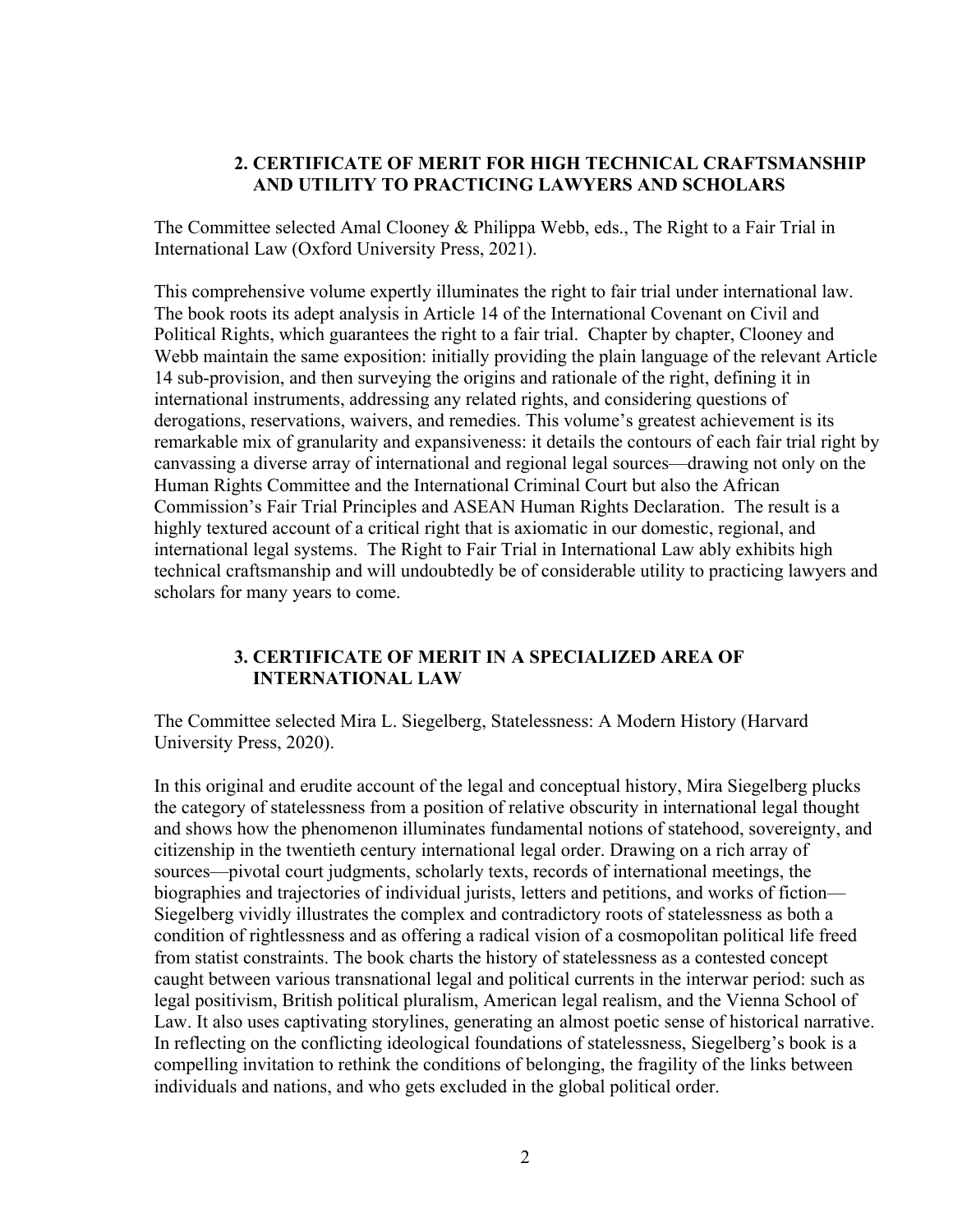# **2. CERTIFICATE OF MERIT FOR HIGH TECHNICAL CRAFTSMANSHIP AND UTILITY TO PRACTICING LAWYERS AND SCHOLARS**

The Committee selected Amal Clooney & Philippa Webb, eds., The Right to a Fair Trial in International Law (Oxford University Press, 2021).

This comprehensive volume expertly illuminates the right to fair trial under international law. The book roots its adept analysis in Article 14 of the International Covenant on Civil and Political Rights, which guarantees the right to a fair trial. Chapter by chapter, Clooney and Webb maintain the same exposition: initially providing the plain language of the relevant Article 14 sub-provision, and then surveying the origins and rationale of the right, defining it in international instruments, addressing any related rights, and considering questions of derogations, reservations, waivers, and remedies. This volume's greatest achievement is its remarkable mix of granularity and expansiveness: it details the contours of each fair trial right by canvassing a diverse array of international and regional legal sources—drawing not only on the Human Rights Committee and the International Criminal Court but also the African Commission's Fair Trial Principles and ASEAN Human Rights Declaration. The result is a highly textured account of a critical right that is axiomatic in our domestic, regional, and international legal systems. The Right to Fair Trial in International Law ably exhibits high technical craftsmanship and will undoubtedly be of considerable utility to practicing lawyers and scholars for many years to come.

# **3. CERTIFICATE OF MERIT IN A SPECIALIZED AREA OF INTERNATIONAL LAW**

The Committee selected Mira L. Siegelberg, Statelessness: A Modern History (Harvard University Press, 2020).

In this original and erudite account of the legal and conceptual history, Mira Siegelberg plucks the category of statelessness from a position of relative obscurity in international legal thought and shows how the phenomenon illuminates fundamental notions of statehood, sovereignty, and citizenship in the twentieth century international legal order. Drawing on a rich array of sources—pivotal court judgments, scholarly texts, records of international meetings, the biographies and trajectories of individual jurists, letters and petitions, and works of fiction–– Siegelberg vividly illustrates the complex and contradictory roots of statelessness as both a condition of rightlessness and as offering a radical vision of a cosmopolitan political life freed from statist constraints. The book charts the history of statelessness as a contested concept caught between various transnational legal and political currents in the interwar period: such as legal positivism, British political pluralism, American legal realism, and the Vienna School of Law. It also uses captivating storylines, generating an almost poetic sense of historical narrative. In reflecting on the conflicting ideological foundations of statelessness, Siegelberg's book is a compelling invitation to rethink the conditions of belonging, the fragility of the links between individuals and nations, and who gets excluded in the global political order.